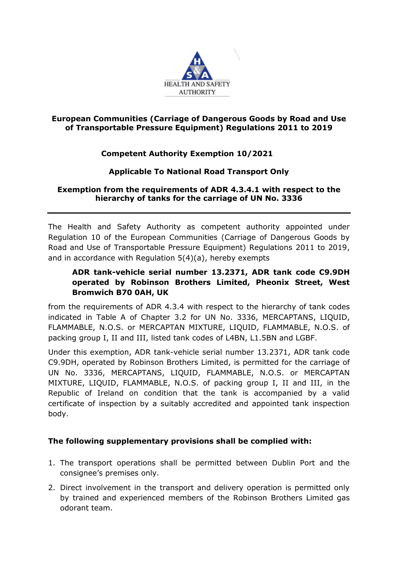

#### **European Communities (Carriage of Dangerous Goods by Road and Use of Transportable Pressure Equipment) Regulations 2011 to 2019**

# **Competent Authority Exemption 10/2021**

## **Applicable To National Road Transport Only**

### **Exemption from the requirements of ADR 4.3.4.1 with respect to the hierarchy of tanks for the carriage of UN No. 3336**

The Health and Safety Authority as competent authority appointed under Regulation 10 of the European Communities (Carriage of Dangerous Goods by Road and Use of Transportable Pressure Equipment) Regulations 2011 to 2019, and in accordance with Regulation 5(4)(a), hereby exempts

# **ADR tank-vehicle serial number 13.2371, ADR tank code C9.9DH operated by Robinson Brothers Limited, Pheonix Street, West Bromwich B70 0AH, UK**

from the requirements of ADR 4.3.4 with respect to the hierarchy of tank codes indicated in Table A of Chapter 3.2 for UN No. 3336, MERCAPTANS, LIQUID, FLAMMABLE, N.O.S. or MERCAPTAN MIXTURE, LIQUID, FLAMMABLE, N.O.S. of packing group I, II and III, listed tank codes of L4BN, L1.5BN and LGBF.

Under this exemption, ADR tank-vehicle serial number 13.2371, ADR tank code C9.9DH, operated by Robinson Brothers Limited, is permitted for the carriage of UN No. 3336, MERCAPTANS, LIQUID, FLAMMABLE, N.O.S. or MERCAPTAN MIXTURE, LIQUID, FLAMMABLE, N.O.S. of packing group I, II and III, in the Republic of Ireland on condition that the tank is accompanied by a valid certificate of inspection by a suitably accredited and appointed tank inspection body.

## **The following supplementary provisions shall be complied with:**

- 1. The transport operations shall be permitted between Dublin Port and the consignee's premises only.
- 2. Direct involvement in the transport and delivery operation is permitted only by trained and experienced members of the Robinson Brothers Limited gas odorant team.